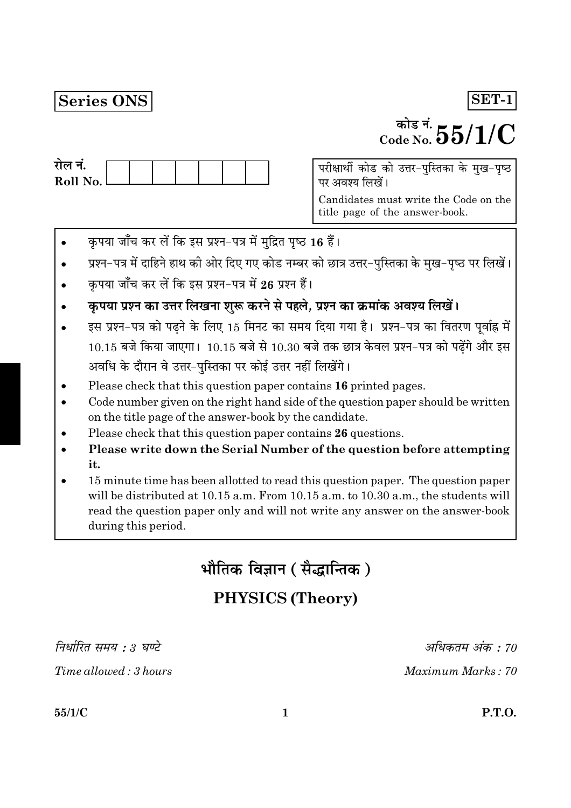## Series ONS

# <sup>कोड नं.</sup>  $55/1/C$

| राल न.     |  |  |  |  |
|------------|--|--|--|--|
| Roll No. l |  |  |  |  |
|            |  |  |  |  |

परीक्षार्थी कोड को उत्तर-पुस्तिका के मुख-पृष्ठ पर अवश्य लिखें।

Candidates must write the Code on the title page of the answer-book.

- कृपया जाँच कर लें कि इस प्रश्न-पत्र में मुद्रित पृष्ठ 16 हैं।
- प्रश्न-पत्र में दाहिने हाथ की ओर दिए गए कोड नम्बर को छात्र उत्तर-पुस्तिका के मुख-पृष्ठ पर लिखें।
- कपया जाँच कर लें कि इस प्रश्न-पत्र में 26 प्रश्न हैं।
- कृपया प्रश्न का उत्तर लिखना शुरू करने से पहले, प्रश्न का क्रमांक अवश्य लिखें।
- इस प्रश्न-पत्र को पढ़ने के लिए 15 मिनट का समय दिया गया है। प्रश्न-पत्र का वितरण पूर्वाह्न में  $10.15$  बजे किया जाएगा।  $10.15$  बजे से  $10.30$  बजे तक छात्र केवल प्रश्न-पत्र को पढ़ेंगे और इस अवधि के दौरान वे उत्तर-पुस्तिका पर कोई उत्तर नहीं लिखेंगे।
- Please check that this question paper contains 16 printed pages.
- Code number given on the right hand side of the question paper should be written on the title page of the answer-book by the candidate.
- Please check that this question paper contains 26 questions.
- Please write down the Serial Number of the question before attempting it.
- 15 minute time has been allotted to read this question paper. The question paper will be distributed at 10.15 a.m. From 10.15 a.m. to 10.30 a.m., the students will read the question paper only and will not write any answer on the answer-book during this period.

भौतिक विज्ञान ( सैद्धान्तिक )

# **PHYSICS (Theory)**

निर्धारित समय : ३ घण्टे

Time allowed: 3 hours

अधिकतम अंक : 70

Maximum Marks: 70

 $55/1/C$ 

SET-1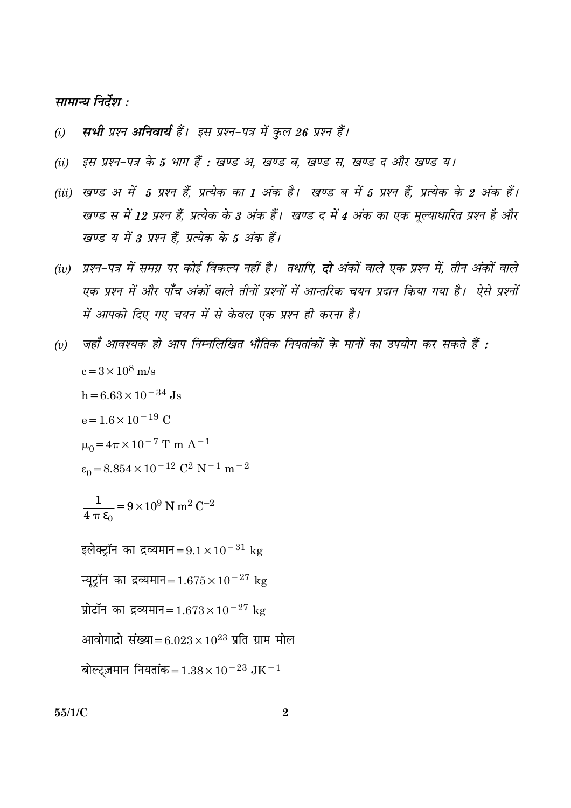### सामान्य निर्देश :

- सभी प्रश्न अनिवार्य हैं। इस प्रश्न-पत्र में कुल 26 प्रश्न हैं।  $(i)$
- इस प्रश्न-पत्र के 5 भाग हैं : खण्ड अ, खण्ड ब, खण्ड स, खण्ड द और खण्ड य।  $(ii)$
- (iii) खण्ड अ में 5 प्रश्न हैं, प्रत्येक का 1 अंक है। खण्ड ब में 5 प्रश्न हैं, प्रत्येक के 2 अंक हैं। खण्ड स में 12 प्रश्न हैं, प्रत्येक के 3 अंक हैं। खण्ड द में 4 अंक का एक मूल्याधारित प्रश्न है और खण्ड य में 3 प्रश्न हैं. प्रत्येक के 5 अंक हैं।
- (iv) प्रश्न-पत्र में समग्र पर कोई विकल्प नहीं है। तथापि, **दो** अंकों वाले एक प्रश्न में, तीन अंकों वाले एक प्रश्न में और पाँच अंकों वाले तीनों प्रश्नों में आन्तरिक चयन प्रदान किया गया है। ऐसे प्रश्नों में आपको दिए गए चयन में से केवल एक प्रश्न ही करना है।
- जहाँ आवश्यक हो आप निम्नलिखित भौतिक नियतांकों के मानों का उपयोग कर सकते हैं :  $(v)$  $c = 3 \times 10^8$  m/s  $h = 6.63 \times 10^{-34}$  Js  $e = 1.6 \times 10^{-19}$  C  $\mu_0 = 4\pi \times 10^{-7}$  T m A<sup>-1</sup>  $\varepsilon_0 = 8.854 \times 10^{-12} \text{ C}^2 \text{ N}^{-1} \text{ m}^{-2}$  $\frac{1}{4 \pi \epsilon_0} = 9 \times 10^9$  N m<sup>2</sup> C<sup>-2</sup> इलेक्ट्रॉन का द्रव्यमान= $9.1 \times 10^{-31}$  kg न्यूट्रॉन का द्रव्यमान=1.675 $\times$ 10<sup>-27</sup> kg प्रोटॉन का द्रव्यमान=  $1.673 \times 10^{-27}$  kg आवोगाद्रो संख्या=6.023×10<sup>23</sup> प्रति ग्राम मोल बोल्टज़मान नियतांक = 1.38 × 10<sup>-23</sup> JK<sup>-1</sup>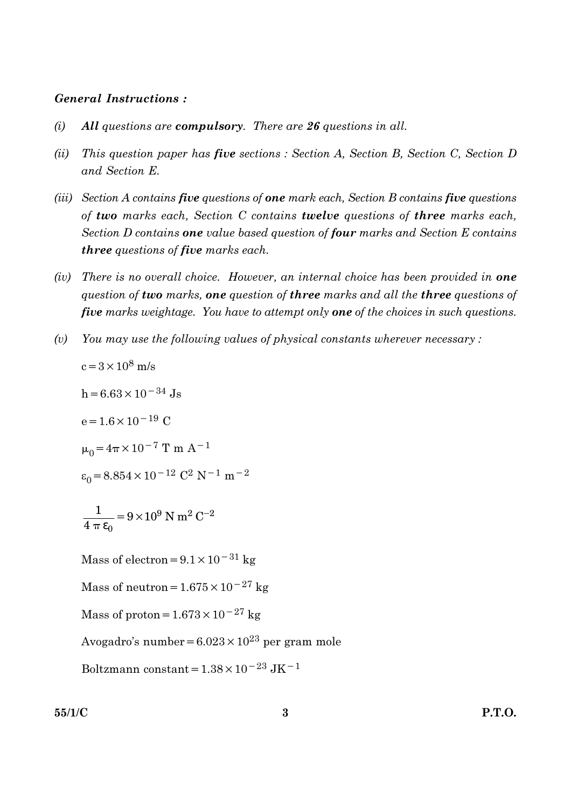#### **General Instructions:**

- All questions are compulsory. There are 26 questions in all.  $(i)$
- $(ii)$ This question paper has five sections : Section A, Section B, Section C, Section D and Section E.
- (iii) Section A contains five questions of one mark each, Section B contains five questions of two marks each, Section C contains twelve questions of three marks each, Section D contains one value based question of four marks and Section E contains **three** questions of five marks each.
- (iv) There is no overall choice. However, an internal choice has been provided in **one** question of two marks, one question of three marks and all the three questions of five marks weightage. You have to attempt only one of the choices in such questions.
- You may use the following values of physical constants wherever necessary:  $(v)$

 $c = 3 \times 10^8$  m/s

$$
h = 6.63 \times 10^{-34} \text{ Js}
$$

 $e = 1.6 \times 10^{-19}$  C

$$
\mu_0 = 4\pi \times 10^{-7}
$$
 T m A<sup>-1</sup>

$$
\varepsilon_0 = 8.854 \times 10^{-12} \text{ C}^2 \text{ N}^{-1} \text{ m}^{-2}
$$

$$
\frac{1}{4 \pi \epsilon_0} = 9 \times 10^9 \text{ N m}^2 \text{ C}^{-2}
$$

Mass of electron =  $9.1 \times 10^{-31}$  kg

Mass of neutron =  $1.675 \times 10^{-27}$  kg

Mass of proton =  $1.673 \times 10^{-27}$  kg

Avogadro's number =  $6.023 \times 10^{23}$  per gram mole

Boltzmann constant =  $1.38\times10^{-23}\rm~J K^{-1}$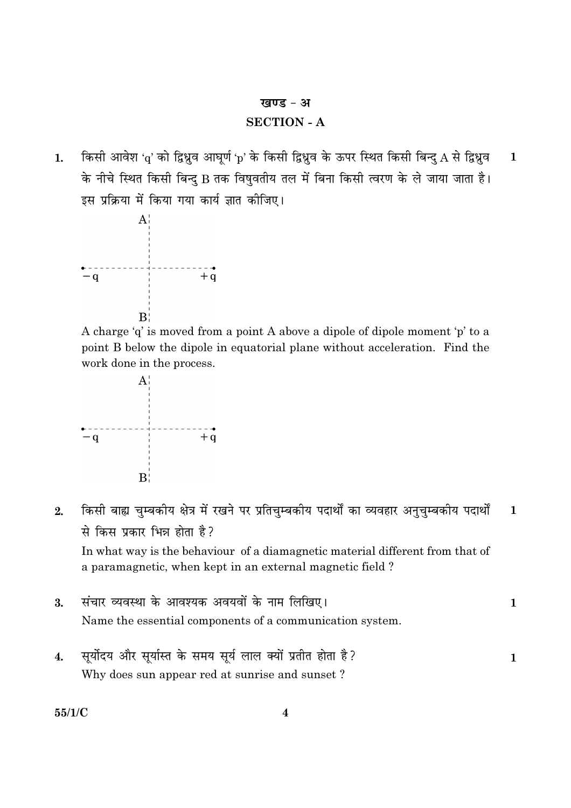#### खण्ड - अ

#### **SECTION - A**

किसी आवेश 'q' को द्विध्नुव आघूर्ण 'p' के किसी द्विध्नुव के ऊपर स्थित किसी बिन्दु A से द्विध्नुव  $\mathbf{1}$  $1.$ के नीचे स्थित किसी बिन्दु B तक विषुवतीय तल में बिना किसी त्वरण के ले जाया जाता है। इस प्रक्रिया में किया गया कार्य ज्ञात कीजिए।



A charge 'q' is moved from a point A above a dipole of dipole moment 'p' to a point B below the dipole in equatorial plane without acceleration. Find the work done in the process.



किसी बाह्य चुम्बकीय क्षेत्र में रखने पर प्रतिचुम्बकीय पदार्थों का व्यवहार अनुचुम्बकीय पदार्थों  $2.$  $\mathbf{1}$ से किस प्रकार भिन्न होता है?

In what way is the behaviour of a diamagnetic material different from that of a paramagnetic, when kept in an external magnetic field?

- संचार व्यवस्था के आवश्यक अवयवों के नाम लिखिए।  $\overline{3}$ .  $\mathbf{1}$ Name the essential components of a communication system.
- सुर्योदय और सुर्यास्त के समय सूर्य लाल क्यों प्रतीत होता है?  $\overline{4}$ .  $\mathbf{1}$ Why does sun appear red at sunrise and sunset?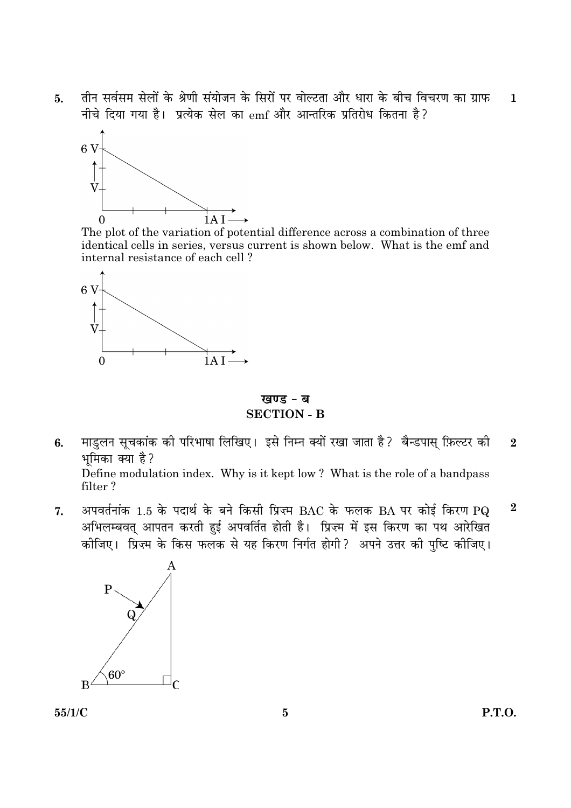तीन सर्वसम सेलों के श्रेणी संयोजन के सिरों पर वोल्टता और धारा के बीच विचरण का ग्राफ  $5<sub>1</sub>$  $\mathbf{1}$ नीचे दिया गया है। प्रत्येक सेल का emf और आन्तरिक प्रतिरोध कितना है?



The plot of the variation of potential difference across a combination of three identical cells in series, versus current is shown below. What is the emf and internal resistance of each cell?



खण्ड - ब **SECTION - B** 

- माडुलन सूचकांक की परिभाषा लिखिए। इसे निम्न क्यों रखा जाता है? बैन्डपास् फ़िल्टर की  $6.$  $\overline{2}$ भमिका क्या है? Define modulation index. Why is it kept low? What is the role of a bandpass filter?
- अपवर्तनांक 1.5 के पदार्थ के बने किसी प्रिज़्म BAC के फलक BA पर कोई किरण PQ  $\boldsymbol{2}$  $7.$ .<br>अभिलम्बवत् आपतन करती हुई अपवर्तित होती है। प्रिज्म में इस किरण का पथ आरेखित कीजिए। प्रिज़्म के किस फलक से यह किरण निर्गत होगी? अपने उत्तर की पुष्टि कीजिए।



 $55/1/C$ 

**P.T.O.**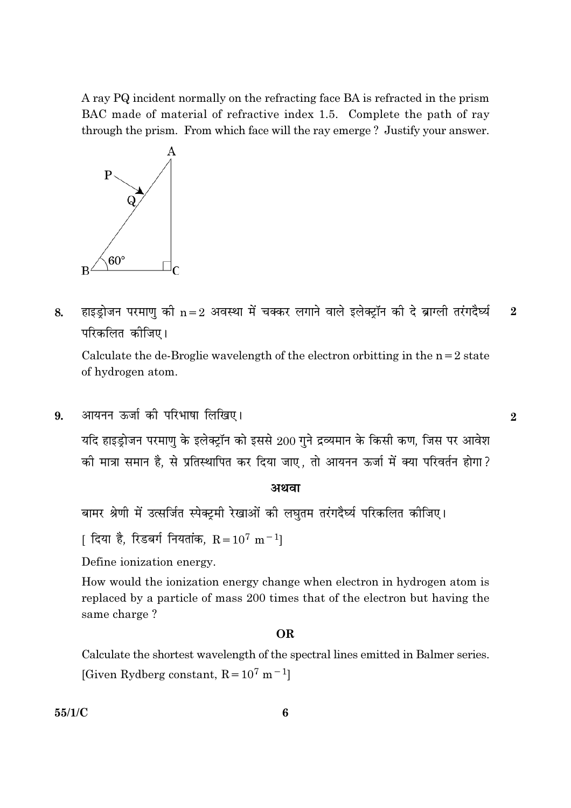A ray PQ incident normally on the refracting face BA is refracted in the prism BAC made of material of refractive index 1.5. Complete the path of ray through the prism. From which face will the ray emerge? Justify your answer.



हाइड़ोजन परमाण की  $n=2$  अवस्था में चक्कर लगाने वाले इलेक्ट्रॉन की दे ब्राग्ली तरंगदैर्घ्य 8.  $\overline{2}$ परिकलित कोजिए।

Calculate the de-Broglie wavelength of the electron orbitting in the  $n=2$  state of hydrogen atom.

आयनन ऊर्जा की परिभाषा लिखिए। 9.

> यदि हाइड़ोजन परमाणु के इलेक्ट्रॉन को इससे 200 गुने द्रव्यमान के किसी कण, जिस पर आवेश की मात्रा समान है, से प्रतिस्थापित कर दिया जाए, तो आयनन ऊर्जा में क्या परिवर्तन होगा?

#### अथवा

बामर श्रेणी में उत्सर्जित स्पेक्ट्रमी रेखाओं की लघुतम तरंगदैर्घ्य परिकलित कीजिए।

[ दिया है, रिडबर्ग नियतांक,  $R = 10^7$  m $^{-1}$ ]

Define ionization energy.

How would the ionization energy change when electron in hydrogen atom is replaced by a particle of mass 200 times that of the electron but having the same charge?

#### **OR**

Calculate the shortest wavelength of the spectral lines emitted in Balmer series. [Given Rydberg constant,  $R = 10^7$  m<sup>-1</sup>]

 $55/1/C$ 

 $\overline{2}$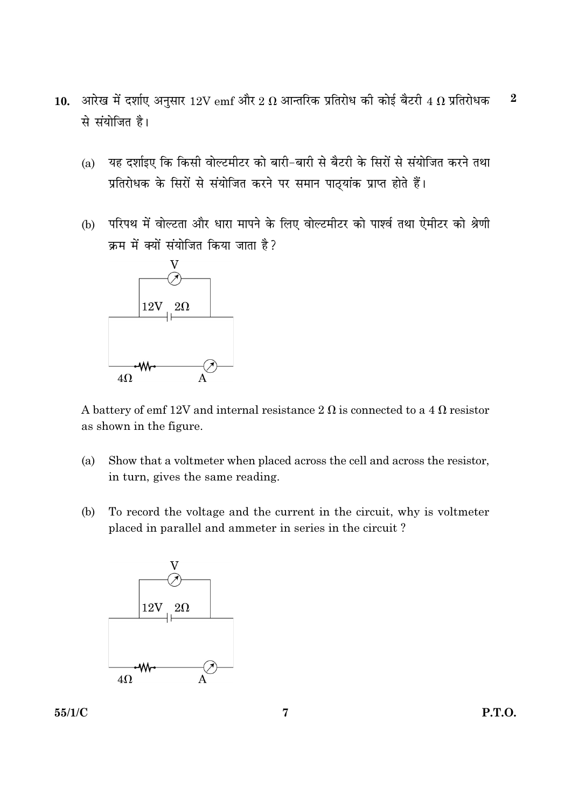- 10. आरेख में दर्शाए अनुसार  $12V$  emf और  $2\ \Omega$  आन्तरिक प्रतिरोध की कोई बैटरी 4  $\Omega$  प्रतिरोधक  $\boldsymbol{2}$ से संयोजित है।
	- यह दर्शाइए कि किसी वोल्टमीटर को बारी-बारी से बैटरी के सिरों से संयोजित करने तथा  $(a)$ प्रतिरोधक के सिरों से संयोजित करने पर समान पाठ्यांक प्राप्त होते हैं।
	- (b) परिपथ में वोल्टता और धारा मापने के लिए वोल्टमीटर को पार्श्व तथा ऐमीटर को श्रेणी क्रम में क्यों संयोजित किया जाता है?



A battery of emf 12V and internal resistance 2  $\Omega$  is connected to a 4  $\Omega$  resistor as shown in the figure.

- $(a)$ Show that a voltmeter when placed across the cell and across the resistor, in turn, gives the same reading.
- To record the voltage and the current in the circuit, why is voltmeter (b) placed in parallel and ammeter in series in the circuit?

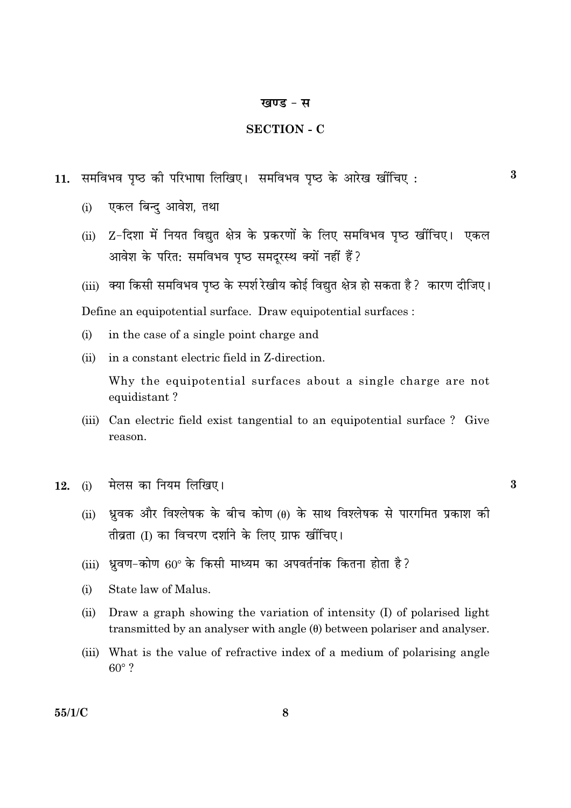#### खण्ड - स

#### **SECTION - C**

- 11. समविभव पृष्ठ की परिभाषा लिखिए। समविभव पृष्ठ के आरेख खींचिए:
	- एकल बिन्द आवेश, तथा  $(i)$
	- Z-दिशा में नियत विद्युत क्षेत्र के प्रकरणों के लिए समविभव पृष्ठ खींचिए। एकल  $(ii)$ आवेश के परित: समविभव पृष्ठ समदूरस्थ क्यों नहीं हैं?
	- (iii) क्या किसी समविभव पष्ठ के स्पर्श रेखीय कोई विद्यत क्षेत्र हो सकता है ? कारण दीजिए।

Define an equipotential surface. Draw equipotential surfaces :

- in the case of a single point charge and  $(i)$
- in a constant electric field in Z-direction.  $(ii)$

Why the equipotential surfaces about a single charge are not equidistant?

- (iii) Can electric field exist tangential to an equipotential surface? Give reason.
- मेलस का नियम लिखिए। 12.  $(i)$ 
	- ध्रुवक और विश्लेषक के बीच कोण (0) के साथ विश्लेषक से पारगमित प्रकाश की  $(ii)$ तीव्रता (I) का विचरण दर्शाने के लिए ग्राफ खींचिए।
	- (iii) ध्रवण-कोण 60° के किसी माध्यम का अपवर्तनांक कितना होता है?
	- State law of Malus.  $(i)$
	- $(ii)$ Draw a graph showing the variation of intensity (I) of polarised light transmitted by an analyser with angle  $(\theta)$  between polariser and analyser.
	- (iii) What is the value of refractive index of a medium of polarising angle  $60^\circ$  ?

 $55/1/C$ 

 $\mathbf{3}$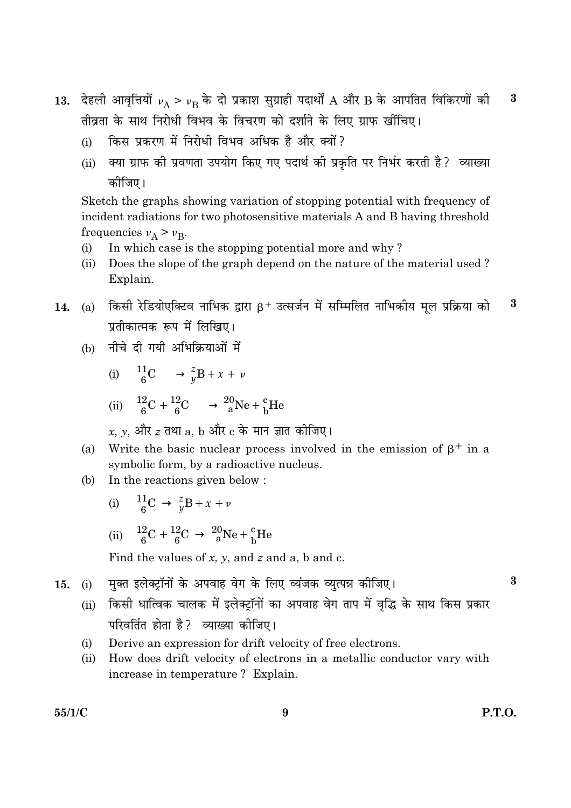- 13. देहली आवृत्तियों  $v_A > v_B$  के दो प्रकाश सुग्राही पदार्थों A और B के आपतित विकिरणों की  $\bf{3}$ तीव्रता के साथ निरोधी विभव के विचरण को दर्शाने के लिए ग्राफ खींचिए।
	- किस प्रकरण में निरोधी विभव अधिक है और क्यों?  $(i)$
	- क्या ग्राफ की प्रवणता उपयोग किए गए पदार्थ की प्रकृति पर निर्भर करती है? व्याख्या  $(ii)$ कोजिए।

Sketch the graphs showing variation of stopping potential with frequency of incident radiations for two photosensitive materials A and B having threshold frequencies  $v_A > v_B$ .

- In which case is the stopping potential more and why?  $(i)$
- Does the slope of the graph depend on the nature of the material used?  $(ii)$ Explain.
- किसी रेडियोएक्टिव नाभिक द्वारा  $B^+$  उत्सर्जन में सम्मिलित नाभिकीय मल प्रक्रिया को  $\boldsymbol{3}$  $(a)$ 14. प्रतीकात्मक रूप में लिखिए।
	- नीचे दी गयी अभिक्रियाओं में  $(b)$

(i) 
$$
{}_{6}^{11}C \longrightarrow {}_{y}^{z}B + x + \nu
$$

(ii)  ${}^{12}_{6}C + {}^{12}_{6}C \longrightarrow {}^{20}_{8}Ne + {}^{c}_{b}He$ 

$$
k, y, और ९ तथा a, b और ८ के मान ज्ञात कोजिए ।
$$

- Write the basic nuclear process involved in the emission of  $\beta^+$  in a  $(a)$ symbolic form, by a radioactive nucleus.
- In the reactions given below: (b)
	- $\frac{11}{6}C \rightarrow \frac{z}{y}B + x + \nu$  $(i)$

(ii)  ${}^{12}_{6}C + {}^{12}_{6}C \rightarrow {}^{20}_{8}Ne + {}^{c}_{b}He$ 

Find the values of x, y, and z and a, b and c.

- मक्त इलेक्टॉनों के अपवाह वेग के लिए व्यंजक व्यत्पन्न कोजिए।  $15.$  $(i)$ 
	- (ii) किसी धात्विक चालक में इलेक्टॉनों का अपवाह वेग ताप में वद्धि के साथ किस प्रकार परिवर्तित होता है? व्याख्या कीजिए।
	- Derive an expression for drift velocity of free electrons.  $(i)$
	- $(ii)$ How does drift velocity of electrons in a metallic conductor vary with increase in temperature? Explain.

 $\bf{3}$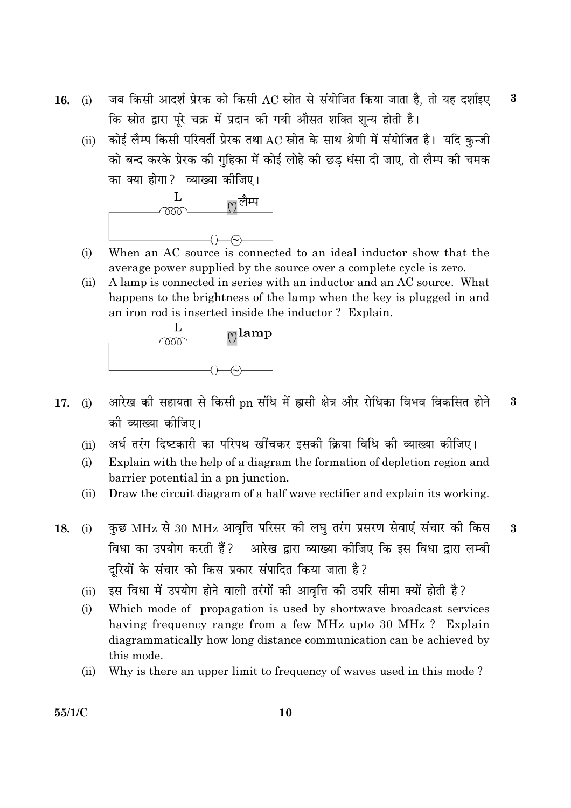- जब किसी आदर्श प्रेरक को किसी AC स्रोत से संयोजित किया जाता है. तो यह दर्शाइए  $\bf{3}$ 16.  $(i)$ कि स्रोत द्वारा पूरे चक्र में प्रदान की गयी औसत शक्ति शून्य होती है।
	- कोई लैम्प किसी परिवर्ती प्रेरक तथा AC स्रोत के साथ श्रेणी में संयोजित है। यदि कुन्जी  $(ii)$ को बन्द करके प्रेरक की गहिका में कोई लोहे की छड धंसा दी जाए. तो लैम्प की चमक का क्या होगा? व्याख्या कीजिए।



- When an AC source is connected to an ideal inductor show that the  $(i)$ average power supplied by the source over a complete cycle is zero.
- A lamp is connected in series with an inductor and an AC source. What  $(ii)$ happens to the brightness of the lamp when the key is plugged in and an iron rod is inserted inside the inductor? Explain.



- आरेख की सहायता से किसी pn संधि में ह्रासी क्षेत्र और रोधिका विभव विकसित होने 3 17.  $(i)$ को व्याख्या कोजिए।
	- अर्ध तरंग दिष्टकारी का परिपथ खींचकर इसकी क्रिया विधि की व्याख्या कीजिए।  $(ii)$
	- Explain with the help of a diagram the formation of depletion region and  $(i)$ barrier potential in a pn junction.
	- Draw the circuit diagram of a half wave rectifier and explain its working.  $(ii)$
- कुछ MHz से 30 MHz आवृत्ति परिसर की लघु तरंग प्रसरण सेवाएं संचार की किस 18.  $(i)$  $\mathbf{3}$ विधा का उपयोग करती हैं? आरेख द्वारा व्याख्या कीजिए कि इस विधा द्वारा लम्बी दुरियों के संचार को किस प्रकार संपादित किया जाता है?
	- इस विधा में उपयोग होने वाली तरंगों की आवृत्ति की उपरि सीमा क्यों होती है?  $(ii)$
	- $(i)$ Which mode of propagation is used by shortwave broadcast services having frequency range from a few MHz upto 30 MHz ? Explain diagrammatically how long distance communication can be achieved by this mode.
	- Why is there an upper limit to frequency of waves used in this mode?  $(ii)$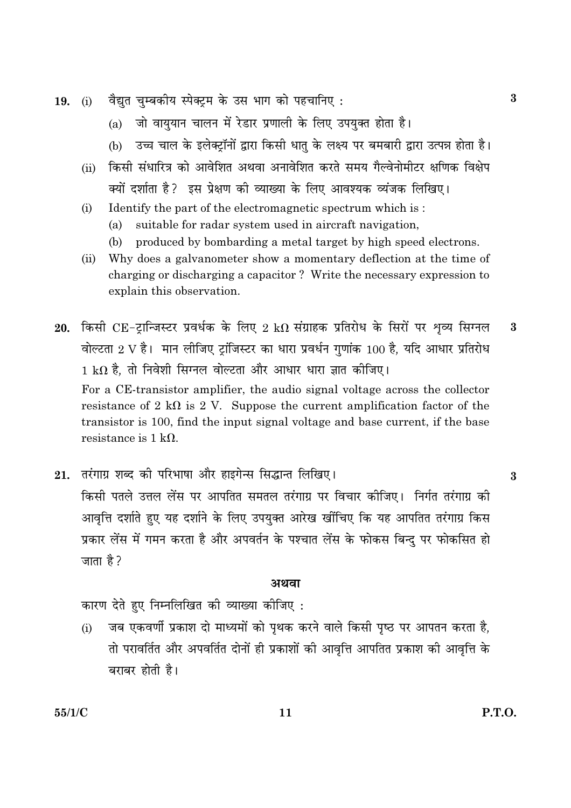- वैद्युत चुम्बकीय स्पेक्ट्रम के उस भाग को पहचानिए: 19.  $(i)$ 
	- जो वाययान चालन में रेडार प्रणाली के लिए उपयक्त होता है।  $(a)$
	- (b) उच्च चाल के इलेक्टॉनों द्वारा किसी धात के लक्ष्य पर बमबारी द्वारा उत्पन्न होता है।
	- किसी संधारित्र को आवेशित अथवा अनावेशित करते समय गैल्वेनोमीटर क्षणिक विक्षेप  $(ii)$ क्यों दर्शाता है? इस प्रेक्षण की व्याख्या के लिए आवश्यक व्यंजक लिखिए।
	- Identify the part of the electromagnetic spectrum which is:  $(i)$ 
		- $(a)$ suitable for radar system used in aircraft navigation,
		- produced by bombarding a metal target by high speed electrons. (b)
	- Why does a galvanometer show a momentary deflection at the time of  $(ii)$ charging or discharging a capacitor? Write the necessary expression to explain this observation.
- 20. किसी CE-ट्रान्जिस्टर प्रवर्धक के लिए 2 k $\Omega$  संग्राहक प्रतिरोध के सिरों पर शृव्य सिग्नल  $\boldsymbol{3}$ वोल्टता 2 V है। मान लीजिए ट्रांजिस्टर का धारा प्रवर्धन गुणांक 100 है, यदि आधार प्रतिरोध  $1~\mathrm{k}\Omega$  है, तो निवेशी सिग्नल वोल्टता और आधार धारा ज्ञात कीजिए। For a CE-transistor amplifier, the audio signal voltage across the collector resistance of 2 k $\Omega$  is 2 V. Suppose the current amplification factor of the transistor is 100, find the input signal voltage and base current, if the base resistance is  $1 kQ$ .
- 21. तरंगाग्र शब्द की परिभाषा और हाइगेन्स सिद्धान्त लिखिए। किसी पतले उत्तल लेंस पर आपतित समतल तरंगाग्र पर विचार कीजिए। निर्गत तरंगाग्र की आवृत्ति दर्शाते हुए यह दर्शाने के लिए उपयुक्त आरेख खींचिए कि यह आपतित तरंगाग्र किस प्रकार लेंस में गमन करता है और अपवर्तन के पश्चात लेंस के फोकस बिन्दु पर फोकसित हो जाता है ?

#### अथवा

कारण देते हुए निम्नलिखित की व्याख्या कीजिए:

जब एकवर्णी प्रकाश दो माध्यमों को पृथक करने वाले किसी पृष्ठ पर आपतन करता है,  $(i)$ तो परावर्तित और अपवर्तित दोनों ही प्रकाशों की आवत्ति आपतित प्रकाश की आवत्ति के बराबर होती है।

 $\boldsymbol{3}$ 

 $\bf{3}$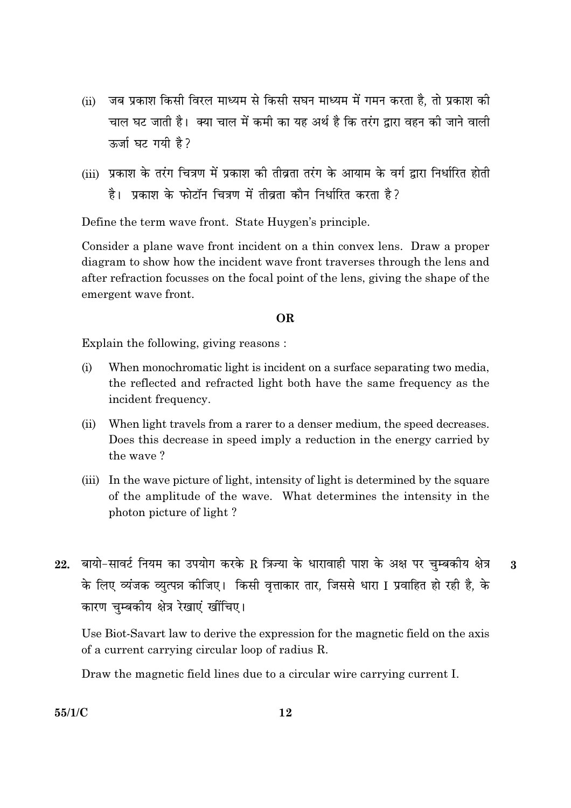- जब प्रकाश किसी विरल माध्यम से किसी सघन माध्यम में गमन करता है. तो प्रकाश की  $(ii)$ चाल घट जाती है। क्या चाल में कमी का यह अर्थ है कि तरंग द्वारा वहन की जाने वाली <u>रुर्जा घट गयी है ?</u>
- (iii) प्रकाश के तरंग चित्रण में प्रकाश की तीव्रता तरंग के आयाम के वर्ग द्रारा निर्धारित होती है। प्रकाश के फोटॉन चित्रण में तीवता कौन निर्धारित करता है?

Define the term wave front. State Huygen's principle.

Consider a plane wave front incident on a thin convex lens. Draw a proper diagram to show how the incident wave front traverses through the lens and after refraction focusses on the focal point of the lens, giving the shape of the emergent wave front.

#### OR.

Explain the following, giving reasons:

- $(i)$ When monochromatic light is incident on a surface separating two media, the reflected and refracted light both have the same frequency as the incident frequency.
- When light travels from a rarer to a denser medium, the speed decreases.  $(ii)$ Does this decrease in speed imply a reduction in the energy carried by the wave?
- (iii) In the wave picture of light, intensity of light is determined by the square of the amplitude of the wave. What determines the intensity in the photon picture of light?
- 22. बायो-सावर्ट नियम का उपयोग करके R त्रिज्या के धारावाही पाश के अक्ष पर चम्बकीय क्षेत्र  $\overline{3}$ के लिए व्यंजक व्युत्पन्न कीजिए। किसी वृत्ताकार तार, जिससे धारा I प्रवाहित हो रही है, के कारण चुम्बकीय क्षेत्र रेखाएं खींचिए।

Use Biot-Savart law to derive the expression for the magnetic field on the axis of a current carrying circular loop of radius R.

Draw the magnetic field lines due to a circular wire carrying current I.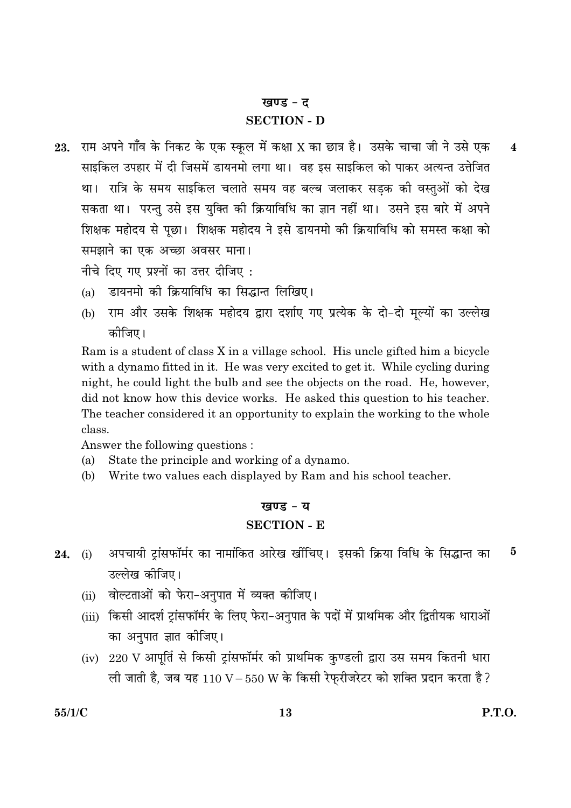#### खण्ड - द

#### **SECTION - D**

राम अपने गाँव के निकट के एक स्कुल में कक्षा X का छात्र है। उसके चाचा जी ने उसे एक 23.  $\overline{\mathbf{4}}$ साइकिल उपहार में दी जिसमें डायनमो लगा था। वह इस साइकिल को पाकर अत्यन्त उत्तेजित था। रात्रि के समय साइकिल चलाते समय वह बल्ब जलाकर सडक की वस्तओं को देख सकता था। परन्तु उसे इस युक्ति की क्रियाविधि का ज्ञान नहीं था। उसने इस बारे में अपने शिक्षक महोदय से पूछा। शिक्षक महोदय ने इसे डायनमो की क्रियाविधि को समस्त कक्षा को समझाने का एक अच्छा अवसर माना।

नीचे दिए गए प्रश्नों का उत्तर दीजिए :

- डायनमो को क्रियाविधि का सिद्धान्त लिखिए।  $(a)$
- राम और उसके शिक्षक महोदय द्वारा दर्शाए गए प्रत्येक के दो-दो मुल्यों का उल्लेख  $(b)$ कोजिए।

Ram is a student of class X in a village school. His uncle gifted him a bicycle with a dynamo fitted in it. He was very excited to get it. While cycling during night, he could light the bulb and see the objects on the road. He, however, did not know how this device works. He asked this question to his teacher. The teacher considered it an opportunity to explain the working to the whole class.

Answer the following questions:

- $(a)$ State the principle and working of a dynamo.
- (b) Write two values each displayed by Ram and his school teacher.

## खण्ड - य **SECTION - E**

- अपचायी ट्रांसफॉर्मर का नामांकित आरेख खींचिए। इसकी क्रिया विधि के सिद्धान्त का  $\bf{5}$ 24.  $(i)$ उल्लेख कीजिए।
	- वोल्टताओं को फेरा-अनुपात में व्यक्त कीजिए।  $(ii)$
	- (iii) किसी आदर्श ट्रांसफॉर्मर के लिए फेरा-अनुपात के पदों में प्राथमिक और द्वितीयक धाराओं का अनपात ज्ञात कीजिए।
	- (iv) 220 V आपूर्ति से किसी ट्रांसफॉर्मर की प्राथमिक कण्डली द्वारा उस समय कितनी धारा ली जाती है, जब यह  $110 V - 550 W$  के किसी रेफ़रीजरेटर को शक्ति प्रदान करता है?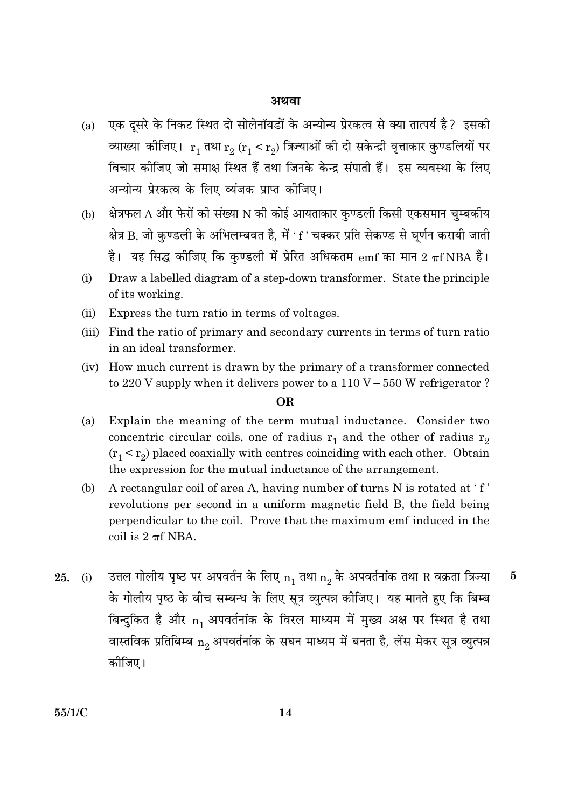#### अथवा

- एक दूसरे के निकट स्थित दो सोलेनॉयडों के अन्योन्य प्रेरकत्व से क्या तात्पर्य है? इसकी  $(a)$ व्याख्या कीजिए।  $r_1$  तथा  $r_2$  ( $r_1 < r_2$ ) त्रिज्याओं की दो सकेन्द्री वृत्ताकार कुण्डलियों पर विचार कोजिए जो समाक्ष स्थित हैं तथा जिनके केन्द्र संपाती हैं। इस व्यवस्था के लिए अन्योन्य प्रेरकत्व के लिए व्यंजक प्राप्त कीजिए।
- क्षेत्रफल A और फेरों की संख्या N की कोई आयताकार कुण्डली किसी एकसमान चुम्बकीय (b) क्षेत्र B, जो कुण्डली के अभिलम्बवत है, में 'f' चक्कर प्रति सेकण्ड से घूर्णन करायी जाती है। यह सिद्ध कीजिए कि कण्डली में प्रेरित अधिकतम  $emf$  का मान 2  $\pi f$ NBA है।
- Draw a labelled diagram of a step-down transformer. State the principle  $(i)$ of its working.
- Express the turn ratio in terms of voltages.  $(ii)$
- (iii) Find the ratio of primary and secondary currents in terms of turn ratio in an ideal transformer.
- (iv) How much current is drawn by the primary of a transformer connected to 220 V supply when it delivers power to a 110 V – 550 W refrigerator?

#### **OR**

- $(a)$ Explain the meaning of the term mutual inductance. Consider two concentric circular coils, one of radius  $r_1$  and the other of radius  $r_2$  $(r_1 \le r_2)$  placed coaxially with centres coinciding with each other. Obtain the expression for the mutual inductance of the arrangement.
- A rectangular coil of area A, having number of turns N is rotated at 'f' (b) revolutions per second in a uniform magnetic field B, the field being perpendicular to the coil. Prove that the maximum emf induced in the coil is  $2 \pi f$  NBA.
- उत्तल गोलीय पृष्ठ पर अपवर्तन के लिए  $n_1$  तथा  $n_2$  के अपवर्तनांक तथा R वक्रता त्रिज्या  $\overline{5}$  $25.$  (i) के गोलीय पृष्ठ के बीच सम्बन्ध के लिए सुत्र व्युत्पन्न कीजिए। यह मानते हुए कि बिम्ब बिन्दुकित है और n, अपवर्तनांक के विरल माध्यम में मुख्य अक्ष पर स्थित है तथा वास्तविक प्रतिबिम्ब  $n_2$  अपवर्तनांक के सघन माध्यम में बनता है, लेंस मेकर सूत्र व्युत्पन्न कोजिए।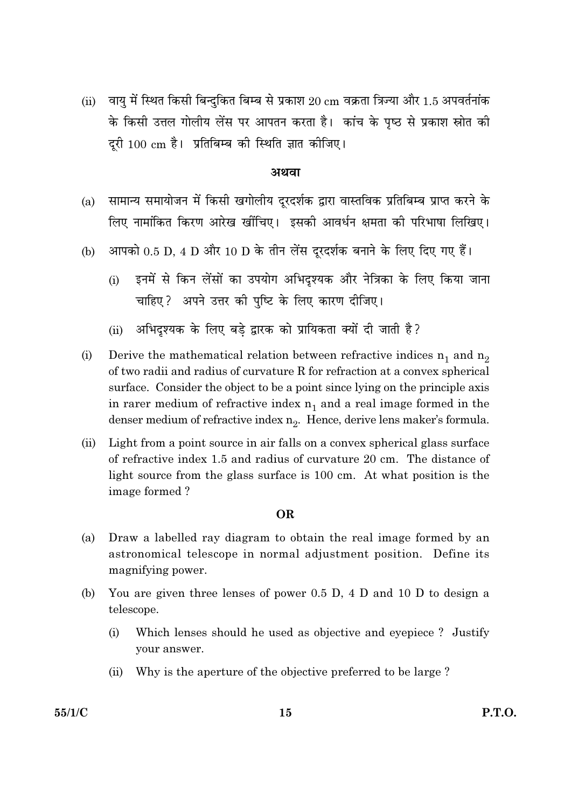वायु में स्थित किसी बिन्दुकित बिम्ब से प्रकाश 20 cm वक्रता त्रिज्या और 1.5 अपवर्तनांक  $(ii)$ के किसी उत्तल गोलीय लेंस पर आपतन करता है। कांच के पृष्ठ से प्रकाश स्रोत की दूरी 100 cm है। प्रतिबिम्ब की स्थिति ज्ञात कीजिए।

#### अथवा

- सामान्य समायोजन में किसी खगोलीय दूरदर्शक द्वारा वास्तविक प्रतिबिम्ब प्राप्त करने के  $(a)$ लिए नामांकित किरण आरेख खींचिए। इसकी आवर्धन क्षमता की परिभाषा लिखिए।
- आपको 0.5 D. 4 D और 10 D के तीन लेंस दरदर्शक बनाने के लिए दिए गए हैं।  $(b)$ 
	- इनमें से किन लेंसों का उपयोग अभिदृश्यक और नेत्रिका के लिए किया जाना  $(i)$ चाहिए? अपने उत्तर की पुष्टि के लिए कारण दीजिए।
	- अभिदुश्यक के लिए बड़े द्वारक को प्रायिकता क्यों दी जाती है?  $(ii)$
- Derive the mathematical relation between refractive indices  $n_1$  and  $n_2$  $(i)$ of two radii and radius of curvature R for refraction at a convex spherical surface. Consider the object to be a point since lying on the principle axis in rarer medium of refractive index  $n_1$  and a real image formed in the denser medium of refractive index  $n_2$ . Hence, derive lens maker's formula.
- Light from a point source in air falls on a convex spherical glass surface  $(ii)$ of refractive index 1.5 and radius of curvature 20 cm. The distance of light source from the glass surface is 100 cm. At what position is the image formed?

#### **OR**

- (a) Draw a labelled ray diagram to obtain the real image formed by an astronomical telescope in normal adjustment position. Define its magnifying power.
- You are given three lenses of power 0.5 D, 4 D and 10 D to design a (b) telescope.
	- Which lenses should he used as objective and eyepiece? Justify  $(i)$ your answer.
	- Why is the aperture of the objective preferred to be large?  $(ii)$